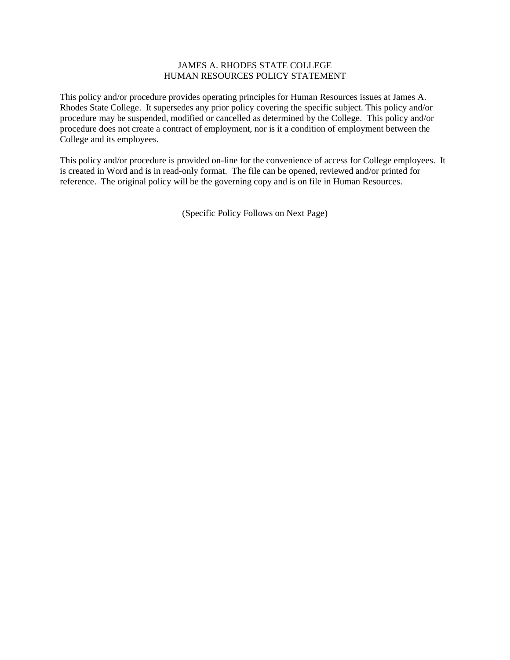## JAMES A. RHODES STATE COLLEGE HUMAN RESOURCES POLICY STATEMENT

This policy and/or procedure provides operating principles for Human Resources issues at James A. Rhodes State College. It supersedes any prior policy covering the specific subject. This policy and/or procedure may be suspended, modified or cancelled as determined by the College. This policy and/or procedure does not create a contract of employment, nor is it a condition of employment between the College and its employees.

This policy and/or procedure is provided on-line for the convenience of access for College employees. It is created in Word and is in read-only format. The file can be opened, reviewed and/or printed for reference. The original policy will be the governing copy and is on file in Human Resources.

(Specific Policy Follows on Next Page)